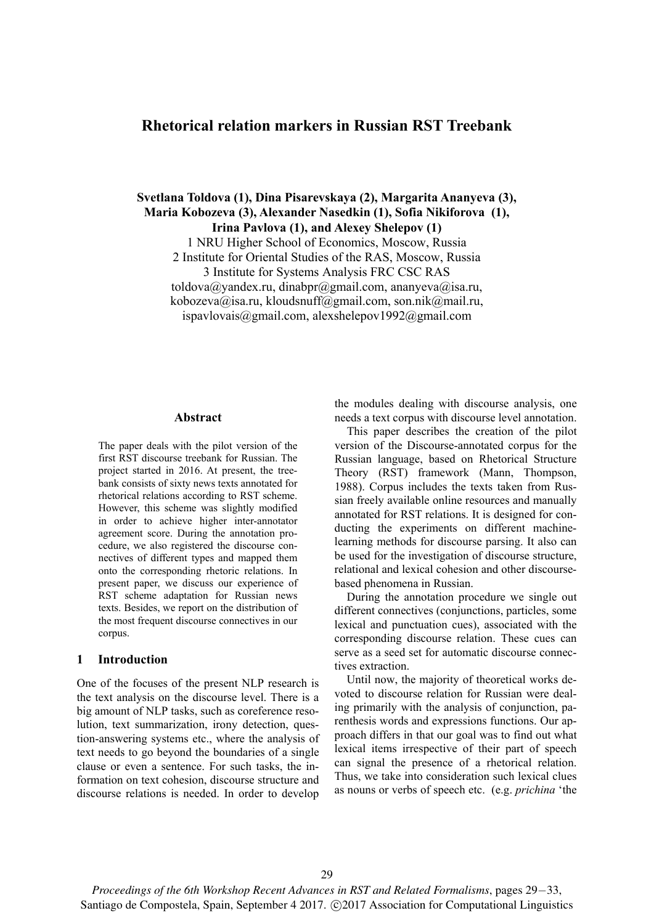# **Rhetorical relation markers in Russian RST Treebank**

**Svetlana Toldova (1), Dina Pisarevskaya (2), Margarita Ananyeva (3), Maria Kobozeva (3), Alexander Nasedkin (1), Sofia Nikiforova (1), Irina Pavlova (1), and Alexey Shelepov (1)** 

1 NRU Higher School of Economics, Moscow, Russia

2 Institute for Oriental Studies of the RAS, Moscow, Russia

3 Institute for Systems Analysis FRC CSC RAS

toldova@yandex.ru, dinabpr@gmail.com, ananyeva@isa.ru,

kobozeva@isa.ru, kloudsnuff@gmail.com, son.nik@mail.ru,

ispavlovais@gmail.com, alexshelepov1992@gmail.com

#### **Abstract**

The paper deals with the pilot version of the first RST discourse treebank for Russian. The project started in 2016. At present, the treebank consists of sixty news texts annotated for rhetorical relations according to RST scheme. However, this scheme was slightly modified in order to achieve higher inter-annotator agreement score. During the annotation procedure, we also registered the discourse connectives of different types and mapped them onto the corresponding rhetoric relations. In present paper, we discuss our experience of RST scheme adaptation for Russian news texts. Besides, we report on the distribution of the most frequent discourse connectives in our corpus.

## **1 Introduction**

One of the focuses of the present NLP research is the text analysis on the discourse level. There is a big amount of NLP tasks, such as coreference resolution, text summarization, irony detection, question-answering systems etc., where the analysis of text needs to go beyond the boundaries of a single clause or even a sentence. For such tasks, the information on text cohesion, discourse structure and discourse relations is needed. In order to develop

the modules dealing with discourse analysis, one needs a text corpus with discourse level annotation.

This paper describes the creation of the pilot version of the Discourse-annotated corpus for the Russian language, based on Rhetorical Structure Theory (RST) framework (Mann, Thompson, 1988). Corpus includes the texts taken from Russian freely available online resources and manually annotated for RST relations. It is designed for conducting the experiments on different machinelearning methods for discourse parsing. It also can be used for the investigation of discourse structure, relational and lexical cohesion and other discoursebased phenomena in Russian.

During the annotation procedure we single out different connectives (conjunctions, particles, some lexical and punctuation cues), associated with the corresponding discourse relation. These cues can serve as a seed set for automatic discourse connectives extraction.

Until now, the majority of theoretical works devoted to discourse relation for Russian were dealing primarily with the analysis of conjunction, parenthesis words and expressions functions. Our approach differs in that our goal was to find out what lexical items irrespective of their part of speech can signal the presence of a rhetorical relation. Thus, we take into consideration such lexical clues as nouns or verbs of speech etc. (e.g. *prichina* 'the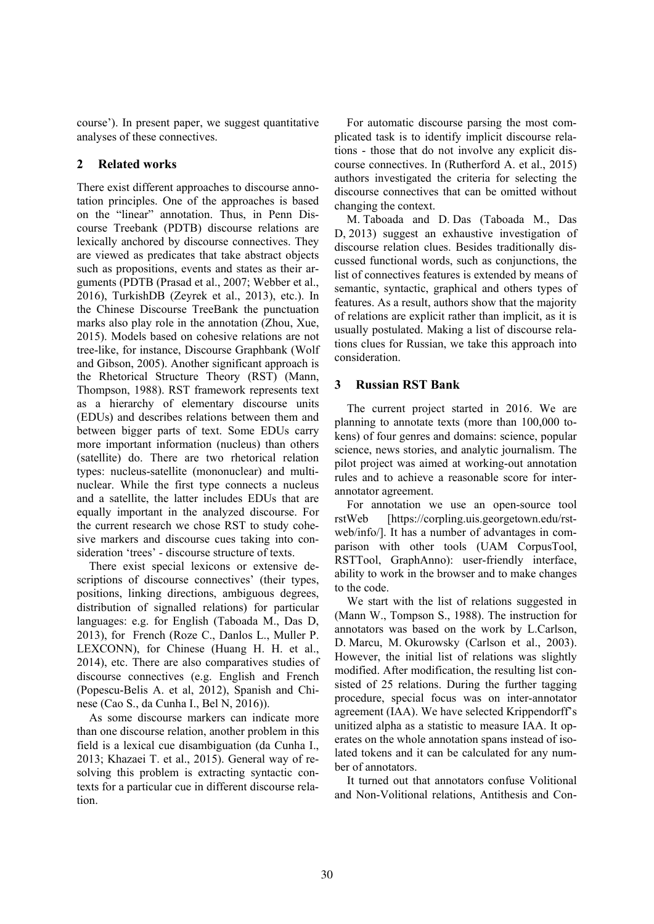course'). In present paper, we suggest quantitative analyses of these connectives.

# **2 Related works**

There exist different approaches to discourse annotation principles. One of the approaches is based on the "linear" annotation. Thus, in Penn Discourse Treebank (PDTB) discourse relations are lexically anchored by discourse connectives. They are viewed as predicates that take abstract objects such as propositions, events and states as their arguments (PDTB (Prasad et al., 2007; Webber et al., 2016), TurkishDB (Zeyrek et al., 2013), etc.). In the Chinese Discourse TreeBank the punctuation marks also play role in the annotation (Zhou, Xue, 2015). Models based on cohesive relations are not tree-like, for instance, Discourse Graphbank (Wolf and Gibson, 2005). Another significant approach is the Rhetorical Structure Theory (RST) (Mann, Thompson, 1988). RST framework represents text as a hierarchy of elementary discourse units (EDUs) and describes relations between them and between bigger parts of text. Some EDUs carry more important information (nucleus) than others (satellite) do. There are two rhetorical relation types: nucleus-satellite (mononuclear) and multinuclear. While the first type connects a nucleus and a satellite, the latter includes EDUs that are equally important in the analyzed discourse. For the current research we chose RST to study cohesive markers and discourse cues taking into consideration 'trees' - discourse structure of texts.

There exist special lexicons or extensive descriptions of discourse connectives' (their types, positions, linking directions, ambiguous degrees, distribution of signalled relations) for particular languages: e.g. for English (Taboada M., Das D, 2013), for French (Roze C., Danlos L., Muller P. LEXCONN), for Chinese (Huang H. H. et al., 2014), etc. There are also comparatives studies of discourse connectives (e.g. English and French (Popescu-Belis A. et al, 2012), Spanish and Chinese (Cao S., da Cunha I., Bel N, 2016)).

As some discourse markers can indicate more than one discourse relation, another problem in this field is a lexical cue disambiguation (da Cunha I., 2013; Khazaei T. et al., 2015). General way of resolving this problem is extracting syntactic contexts for a particular cue in different discourse relation.

For automatic discourse parsing the most complicated task is to identify implicit discourse relations - those that do not involve any explicit discourse connectives. In (Rutherford A. et al., 2015) authors investigated the criteria for selecting the discourse connectives that can be omitted without changing the context.

M. Taboada and D. Das (Taboada M., Das D, 2013) suggest an exhaustive investigation of discourse relation clues. Besides traditionally discussed functional words, such as conjunctions, the list of connectives features is extended by means of semantic, syntactic, graphical and others types of features. As a result, authors show that the majority of relations are explicit rather than implicit, as it is usually postulated. Making a list of discourse relations clues for Russian, we take this approach into consideration.

# **3 Russian RST Bank**

The current project started in 2016. We are planning to annotate texts (more than 100,000 tokens) of four genres and domains: science, popular science, news stories, and analytic journalism. The pilot project was aimed at working-out annotation rules and to achieve a reasonable score for interannotator agreement.

For annotation we use an open-source tool rstWeb [https://corpling.uis.georgetown.edu/rstweb/info/]. It has a number of advantages in comparison with other tools (UAM CorpusTool, RSTTool, GraphAnno): user-friendly interface, ability to work in the browser and to make changes to the code.

We start with the list of relations suggested in (Mann W., Tompson S., 1988). The instruction for annotators was based on the work by L.Carlson, D. Marcu, M. Okurowsky (Carlson et al., 2003). However, the initial list of relations was slightly modified. After modification, the resulting list consisted of 25 relations. During the further tagging procedure, special focus was on inter-annotator agreement (IAA). We have selected Krippendorff's unitized alpha as a statistic to measure IAA. It operates on the whole annotation spans instead of isolated tokens and it can be calculated for any number of annotators.

It turned out that annotators confuse Volitional and Non-Volitional relations, Antithesis and Con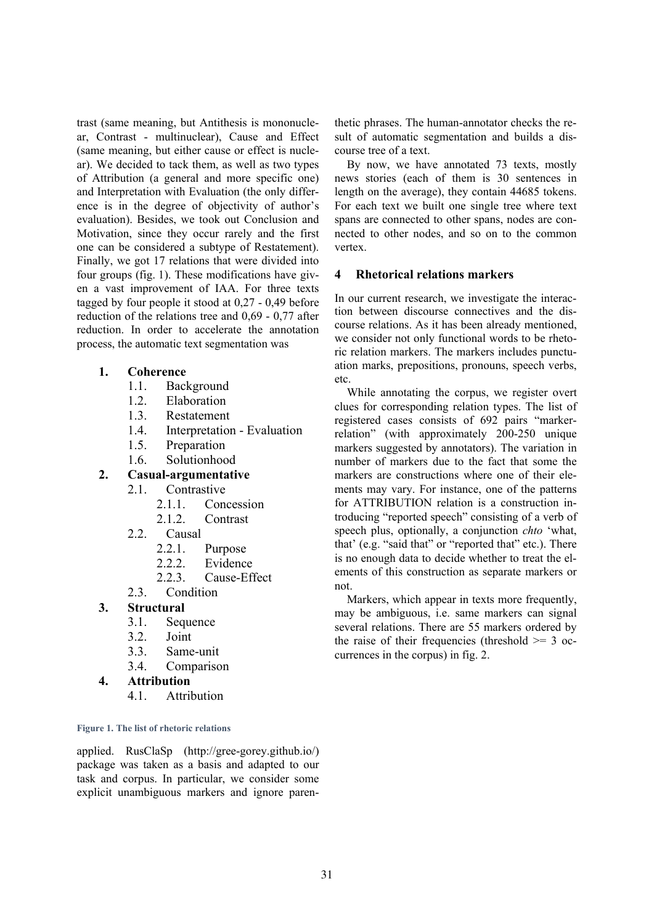trast (same meaning, but Antithesis is mononuclear, Contrast - multinuclear), Cause and Effect (same meaning, but either cause or effect is nuclear). We decided to tack them, as well as two types of Attribution (a general and more specific one) and Interpretation with Evaluation (the only difference is in the degree of objectivity of author's evaluation). Besides, we took out Conclusion and Motivation, since they occur rarely and the first one can be considered a subtype of Restatement). Finally, we got 17 relations that were divided into four groups (fig. 1). These modifications have given a vast improvement of IAA. For three texts tagged by four people it stood at 0,27 - 0,49 before reduction of the relations tree and 0,69 - 0,77 after reduction. In order to accelerate the annotation process, the automatic text segmentation was

## **1. Coherence**

- 1.1. Background
- 1.2. Elaboration
- 1.3. Restatement
- 1.4. Interpretation Evaluation
- 1.5. Preparation
- 1.6. Solutionhood

## **2. Casual-argumentative**

- 2.1. Contrastive
	- 2.1.1. Concession
	- 2.1.2. Contrast
- 2.2. Causal
	- 2.2.1. Purpose
	- 2.2.2. Evidence
	- 2.2.3. Cause-Effect
- 2.3. Condition

## **3. Structural**

- 3.1. Sequence
- 3.2. Joint
- 3.3. Same-unit
- 3.4. Comparison

## **4. Attribution**

4.1. Attribution

### **Figure 1. The list of rhetoric relations**

applied. RusClaSp (http://gree-gorey.github.io/) package was taken as a basis and adapted to our task and corpus. In particular, we consider some explicit unambiguous markers and ignore paren-

thetic phrases. The human-annotator checks the result of automatic segmentation and builds a discourse tree of a text.

By now, we have annotated 73 texts, mostly news stories (each of them is 30 sentences in length on the average), they contain 44685 tokens. For each text we built one single tree where text spans are connected to other spans, nodes are connected to other nodes, and so on to the common vertex.

## **4 Rhetorical relations markers**

In our current research, we investigate the interaction between discourse connectives and the discourse relations. As it has been already mentioned, we consider not only functional words to be rhetoric relation markers. The markers includes punctuation marks, prepositions, pronouns, speech verbs, etc.

While annotating the corpus, we register overt clues for corresponding relation types. The list of registered cases consists of 692 pairs "markerrelation" (with approximately 200-250 unique markers suggested by annotators). The variation in number of markers due to the fact that some the markers are constructions where one of their elements may vary. For instance, one of the patterns for ATTRIBUTION relation is a construction introducing "reported speech" consisting of a verb of speech plus, optionally, a conjunction *chto* 'what, that' (e.g. "said that" or "reported that" etc.). There is no enough data to decide whether to treat the elements of this construction as separate markers or not.

Markers, which appear in texts more frequently, may be ambiguous, i.e. same markers can signal several relations. There are 55 markers ordered by the raise of their frequencies (threshold  $\geq$  3 occurrences in the corpus) in fig. 2.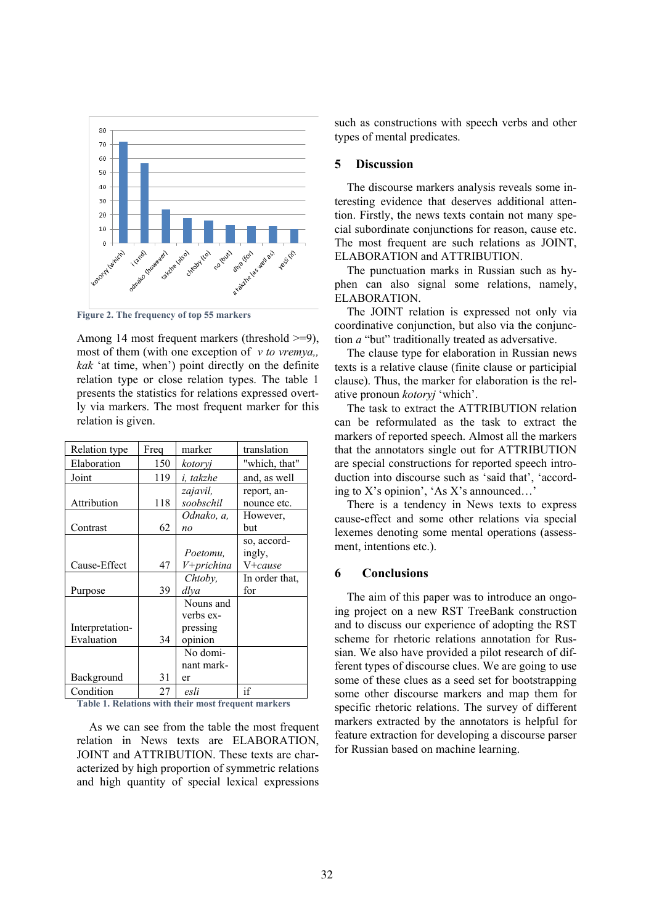

**Figure 2. The frequency of top 55 markers** 

Among 14 most frequent markers (threshold >=9), most of them (with one exception of *v to vremya,, kak* 'at time, when') point directly on the definite relation type or close relation types. The table 1 presents the statistics for relations expressed overtly via markers. The most frequent marker for this relation is given.

| Relation type   | Freq | marker     | translation    |
|-----------------|------|------------|----------------|
| Elaboration     | 150  | kotoryj    | "which, that"  |
| Joint           | 119  | i, takzhe  | and, as well   |
|                 |      | zajavil,   | report, an-    |
| Attribution     | 118  | soobschil  | nounce etc.    |
|                 |      | Odnako, a, | However,       |
| Contrast        | 62   | no         | but            |
|                 |      |            | so, accord-    |
|                 |      | Poetomu.   | ingly,         |
| Cause-Effect    | 47   | V+prichina | V+cause        |
|                 |      | Chtoby,    | In order that, |
| Purpose         | 39   | dlya       | for            |
|                 |      | Nouns and  |                |
|                 |      | verbs ex-  |                |
| Interpretation- |      | pressing   |                |
| Evaluation      | 34   | opinion    |                |
|                 |      | No domi-   |                |
|                 |      | nant mark- |                |
| Background      | 31   | er         |                |
| Condition       | 27   | esli       | if             |

**Table 1. Relations with their most frequent markers** 

As we can see from the table the most frequent relation in News texts are ELABORATION, JOINT and ATTRIBUTION. These texts are characterized by high proportion of symmetric relations and high quantity of special lexical expressions such as constructions with speech verbs and other types of mental predicates.

### **5 Discussion**

The discourse markers analysis reveals some interesting evidence that deserves additional attention. Firstly, the news texts contain not many special subordinate conjunctions for reason, cause etc. The most frequent are such relations as JOINT, ELABORATION and ATTRIBUTION.

The punctuation marks in Russian such as hyphen can also signal some relations, namely, ELABORATION.

The JOINT relation is expressed not only via coordinative conjunction, but also via the conjunction *a* "but" traditionally treated as adversative.

The clause type for elaboration in Russian news texts is a relative clause (finite clause or participial clause). Thus, the marker for elaboration is the relative pronoun *kotoryj* 'which'.

The task to extract the ATTRIBUTION relation can be reformulated as the task to extract the markers of reported speech. Almost all the markers that the annotators single out for ATTRIBUTION are special constructions for reported speech introduction into discourse such as 'said that', 'according to X's opinion', 'As X's announced…'

There is a tendency in News texts to express cause-effect and some other relations via special lexemes denoting some mental operations (assessment, intentions etc.).

#### **6 Conclusions**

The aim of this paper was to introduce an ongoing project on a new RST TreeBank construction and to discuss our experience of adopting the RST scheme for rhetoric relations annotation for Russian. We also have provided a pilot research of different types of discourse clues. We are going to use some of these clues as a seed set for bootstrapping some other discourse markers and map them for specific rhetoric relations. The survey of different markers extracted by the annotators is helpful for feature extraction for developing a discourse parser for Russian based on machine learning.